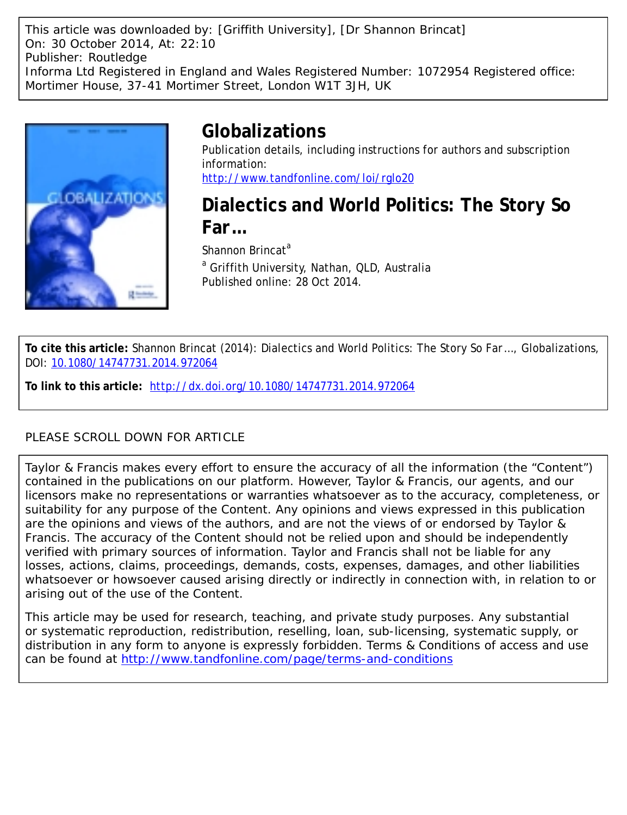This article was downloaded by: [Griffith University], [Dr Shannon Brincat] On: 30 October 2014, At: 22:10 Publisher: Routledge Informa Ltd Registered in England and Wales Registered Number: 1072954 Registered office: Mortimer House, 37-41 Mortimer Street, London W1T 3JH, UK



# **Globalizations**

Publication details, including instructions for authors and subscription information: <http://www.tandfonline.com/loi/rglo20>

**Dialectics and World Politics: The Story So Far…**

Shannon Brincat<sup>a</sup> <sup>a</sup> Griffith University, Nathan, QLD, Australia Published online: 28 Oct 2014.

**To cite this article:** Shannon Brincat (2014): Dialectics and World Politics: The Story So Far…, Globalizations, DOI: [10.1080/14747731.2014.972064](http://www.tandfonline.com/action/showCitFormats?doi=10.1080/14747731.2014.972064)

**To link to this article:** <http://dx.doi.org/10.1080/14747731.2014.972064>

# PLEASE SCROLL DOWN FOR ARTICLE

Taylor & Francis makes every effort to ensure the accuracy of all the information (the "Content") contained in the publications on our platform. However, Taylor & Francis, our agents, and our licensors make no representations or warranties whatsoever as to the accuracy, completeness, or suitability for any purpose of the Content. Any opinions and views expressed in this publication are the opinions and views of the authors, and are not the views of or endorsed by Taylor & Francis. The accuracy of the Content should not be relied upon and should be independently verified with primary sources of information. Taylor and Francis shall not be liable for any losses, actions, claims, proceedings, demands, costs, expenses, damages, and other liabilities whatsoever or howsoever caused arising directly or indirectly in connection with, in relation to or arising out of the use of the Content.

This article may be used for research, teaching, and private study purposes. Any substantial or systematic reproduction, redistribution, reselling, loan, sub-licensing, systematic supply, or distribution in any form to anyone is expressly forbidden. Terms & Conditions of access and use can be found at <http://www.tandfonline.com/page/terms-and-conditions>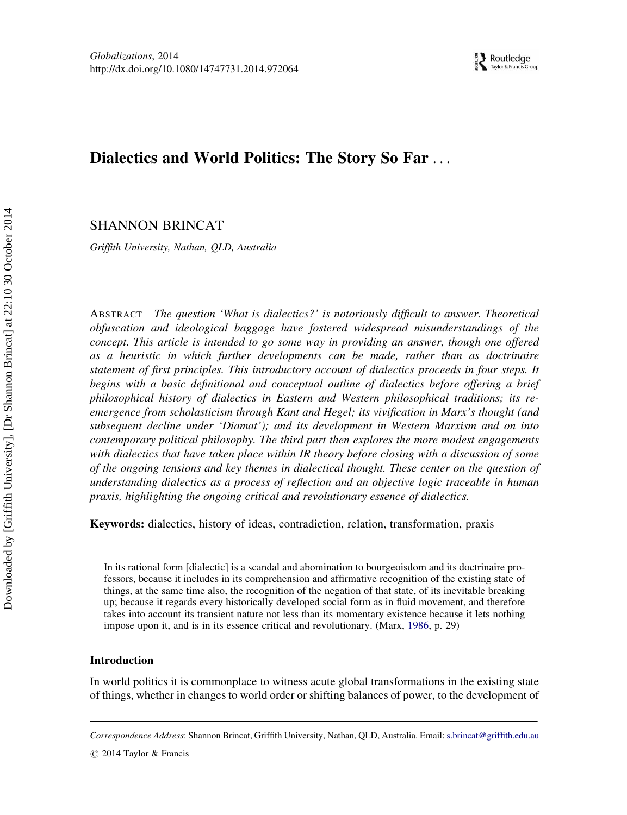Routledge Taylor & Francis Group

# Dialectics and World Politics: The Story So Far ...

SHANNON BRINCAT

Griffith University, Nathan, QLD, Australia

ABSTRACT The question 'What is dialectics?' is notoriously difficult to answer. Theoretical obfuscation and ideological baggage have fostered widespread misunderstandings of the concept. This article is intended to go some way in providing an answer, though one offered as a heuristic in which further developments can be made, rather than as doctrinaire statement of first principles. This introductory account of dialectics proceeds in four steps. It begins with a basic definitional and conceptual outline of dialectics before offering a brief philosophical history of dialectics in Eastern and Western philosophical traditions; its reemergence from scholasticism through Kant and Hegel; its vivification in Marx's thought (and subsequent decline under 'Diamat'); and its development in Western Marxism and on into contemporary political philosophy. The third part then explores the more modest engagements with dialectics that have taken place within IR theory before closing with a discussion of some of the ongoing tensions and key themes in dialectical thought. These center on the question of understanding dialectics as a process of reflection and an objective logic traceable in human praxis, highlighting the ongoing critical and revolutionary essence of dialectics.

Keywords: dialectics, history of ideas, contradiction, relation, transformation, praxis

In its rational form [dialectic] is a scandal and abomination to bourgeoisdom and its doctrinaire professors, because it includes in its comprehension and affirmative recognition of the existing state of things, at the same time also, the recognition of the negation of that state, of its inevitable breaking up; because it regards every historically developed social form as in fluid movement, and therefore takes into account its transient nature not less than its momentary existence because it lets nothing impose upon it, and is in its essence critical and revolutionary. (Marx, [1986,](#page-17-0) p. 29)

## Introduction

In world politics it is commonplace to witness acute global transformations in the existing state of things, whether in changes to world order or shifting balances of power, to the development of

Correspondence Address: Shannon Brincat, Griffith University, Nathan, QLD, Australia. Email: [s.brincat@griffith.edu.au](mailto:s.brincat@griffith.edu.au)

C 2014 Taylor & Francis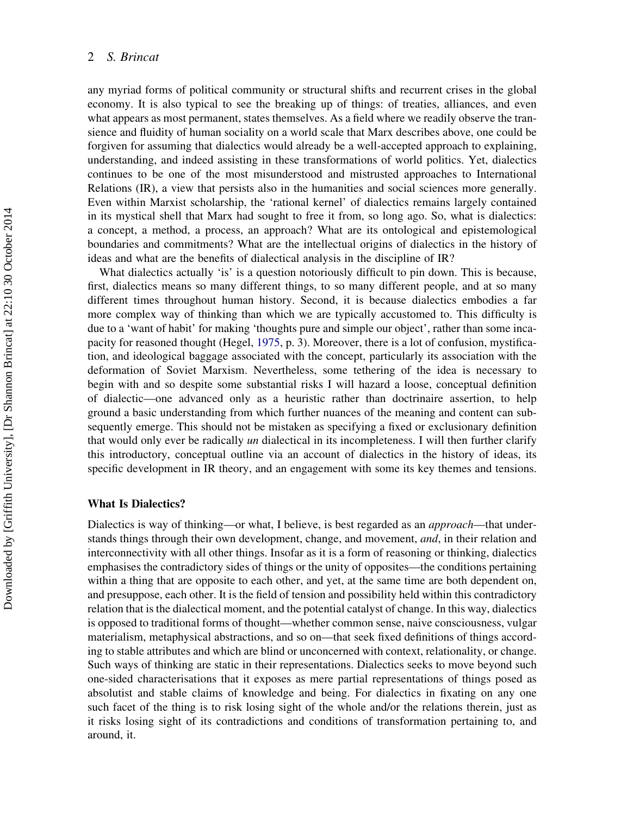any myriad forms of political community or structural shifts and recurrent crises in the global economy. It is also typical to see the breaking up of things: of treaties, alliances, and even what appears as most permanent, states themselves. As a field where we readily observe the transience and fluidity of human sociality on a world scale that Marx describes above, one could be forgiven for assuming that dialectics would already be a well-accepted approach to explaining, understanding, and indeed assisting in these transformations of world politics. Yet, dialectics continues to be one of the most misunderstood and mistrusted approaches to International Relations (IR), a view that persists also in the humanities and social sciences more generally. Even within Marxist scholarship, the 'rational kernel' of dialectics remains largely contained in its mystical shell that Marx had sought to free it from, so long ago. So, what is dialectics: a concept, a method, a process, an approach? What are its ontological and epistemological boundaries and commitments? What are the intellectual origins of dialectics in the history of ideas and what are the benefits of dialectical analysis in the discipline of IR?

What dialectics actually 'is' is a question notoriously difficult to pin down. This is because, first, dialectics means so many different things, to so many different people, and at so many different times throughout human history. Second, it is because dialectics embodies a far more complex way of thinking than which we are typically accustomed to. This difficulty is due to a 'want of habit' for making 'thoughts pure and simple our object', rather than some incapacity for reasoned thought (Hegel, [1975](#page-17-0), p. 3). Moreover, there is a lot of confusion, mystification, and ideological baggage associated with the concept, particularly its association with the deformation of Soviet Marxism. Nevertheless, some tethering of the idea is necessary to begin with and so despite some substantial risks I will hazard a loose, conceptual definition of dialectic—one advanced only as a heuristic rather than doctrinaire assertion, to help ground a basic understanding from which further nuances of the meaning and content can subsequently emerge. This should not be mistaken as specifying a fixed or exclusionary definition that would only ever be radically un dialectical in its incompleteness. I will then further clarify this introductory, conceptual outline via an account of dialectics in the history of ideas, its specific development in IR theory, and an engagement with some its key themes and tensions.

#### What Is Dialectics?

Dialectics is way of thinking—or what, I believe, is best regarded as an *approach*—that understands things through their own development, change, and movement, *and*, in their relation and interconnectivity with all other things. Insofar as it is a form of reasoning or thinking, dialectics emphasises the contradictory sides of things or the unity of opposites—the conditions pertaining within a thing that are opposite to each other, and yet, at the same time are both dependent on, and presuppose, each other. It is the field of tension and possibility held within this contradictory relation that is the dialectical moment, and the potential catalyst of change. In this way, dialectics is opposed to traditional forms of thought—whether common sense, naive consciousness, vulgar materialism, metaphysical abstractions, and so on—that seek fixed definitions of things according to stable attributes and which are blind or unconcerned with context, relationality, or change. Such ways of thinking are static in their representations. Dialectics seeks to move beyond such one-sided characterisations that it exposes as mere partial representations of things posed as absolutist and stable claims of knowledge and being. For dialectics in fixating on any one such facet of the thing is to risk losing sight of the whole and/or the relations therein, just as it risks losing sight of its contradictions and conditions of transformation pertaining to, and around, it.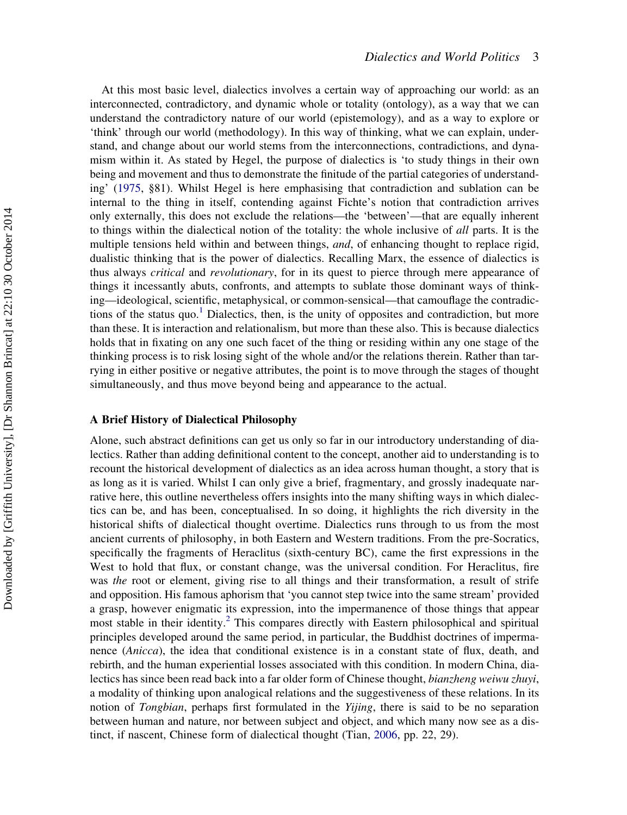At this most basic level, dialectics involves a certain way of approaching our world: as an interconnected, contradictory, and dynamic whole or totality (ontology), as a way that we can understand the contradictory nature of our world (epistemology), and as a way to explore or 'think' through our world (methodology). In this way of thinking, what we can explain, understand, and change about our world stems from the interconnections, contradictions, and dynamism within it. As stated by Hegel, the purpose of dialectics is 'to study things in their own being and movement and thus to demonstrate the finitude of the partial categories of understanding' [\(1975](#page-17-0), §81). Whilst Hegel is here emphasising that contradiction and sublation can be internal to the thing in itself, contending against Fichte's notion that contradiction arrives only externally, this does not exclude the relations—the 'between'—that are equally inherent to things within the dialectical notion of the totality: the whole inclusive of all parts. It is the multiple tensions held within and between things, *and*, of enhancing thought to replace rigid, dualistic thinking that is the power of dialectics. Recalling Marx, the essence of dialectics is thus always critical and revolutionary, for in its quest to pierce through mere appearance of things it incessantly abuts, confronts, and attempts to sublate those dominant ways of thinking—ideological, scientific, metaphysical, or common-sensical—that camouflage the contradic-tions of the status quo.<sup>[1](#page-15-0)</sup> Dialectics, then, is the unity of opposites and contradiction, but more than these. It is interaction and relationalism, but more than these also. This is because dialectics holds that in fixating on any one such facet of the thing or residing within any one stage of the thinking process is to risk losing sight of the whole and/or the relations therein. Rather than tarrying in either positive or negative attributes, the point is to move through the stages of thought simultaneously, and thus move beyond being and appearance to the actual.

# A Brief History of Dialectical Philosophy

Alone, such abstract definitions can get us only so far in our introductory understanding of dialectics. Rather than adding definitional content to the concept, another aid to understanding is to recount the historical development of dialectics as an idea across human thought, a story that is as long as it is varied. Whilst I can only give a brief, fragmentary, and grossly inadequate narrative here, this outline nevertheless offers insights into the many shifting ways in which dialectics can be, and has been, conceptualised. In so doing, it highlights the rich diversity in the historical shifts of dialectical thought overtime. Dialectics runs through to us from the most ancient currents of philosophy, in both Eastern and Western traditions. From the pre-Socratics, specifically the fragments of Heraclitus (sixth-century BC), came the first expressions in the West to hold that flux, or constant change, was the universal condition. For Heraclitus, fire was the root or element, giving rise to all things and their transformation, a result of strife and opposition. His famous aphorism that 'you cannot step twice into the same stream' provided a grasp, however enigmatic its expression, into the impermanence of those things that appear most stable in their identity.<sup>2</sup> This compares directly with Eastern philosophical and spiritual principles developed around the same period, in particular, the Buddhist doctrines of impermanence (Anicca), the idea that conditional existence is in a constant state of flux, death, and rebirth, and the human experiential losses associated with this condition. In modern China, dialectics has since been read back into a far older form of Chinese thought, bianzheng weiwu zhuyi, a modality of thinking upon analogical relations and the suggestiveness of these relations. In its notion of *Tongbian*, perhaps first formulated in the *Yijing*, there is said to be no separation between human and nature, nor between subject and object, and which many now see as a distinct, if nascent, Chinese form of dialectical thought (Tian, [2006,](#page-18-0) pp. 22, 29).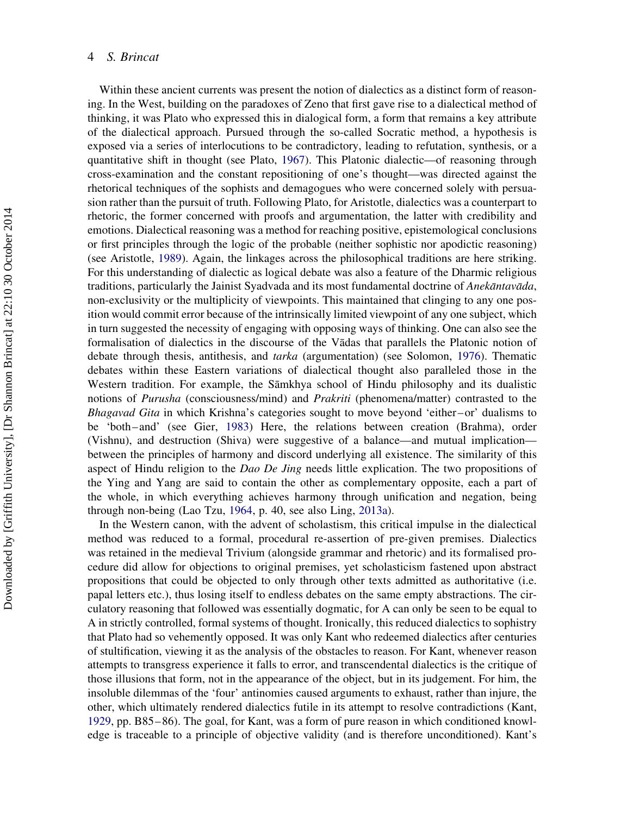Within these ancient currents was present the notion of dialectics as a distinct form of reasoning. In the West, building on the paradoxes of Zeno that first gave rise to a dialectical method of thinking, it was Plato who expressed this in dialogical form, a form that remains a key attribute of the dialectical approach. Pursued through the so-called Socratic method, a hypothesis is exposed via a series of interlocutions to be contradictory, leading to refutation, synthesis, or a quantitative shift in thought (see Plato, [1967\)](#page-18-0). This Platonic dialectic—of reasoning through cross-examination and the constant repositioning of one's thought—was directed against the rhetorical techniques of the sophists and demagogues who were concerned solely with persuasion rather than the pursuit of truth. Following Plato, for Aristotle, dialectics was a counterpart to rhetoric, the former concerned with proofs and argumentation, the latter with credibility and emotions. Dialectical reasoning was a method for reaching positive, epistemological conclusions or first principles through the logic of the probable (neither sophistic nor apodictic reasoning) (see Aristotle, [1989](#page-16-0)). Again, the linkages across the philosophical traditions are here striking. For this understanding of dialectic as logical debate was also a feature of the Dharmic religious traditions, particularly the Jainist Syadvada and its most fundamental doctrine of Anekāntavāda, non-exclusivity or the multiplicity of viewpoints. This maintained that clinging to any one position would commit error because of the intrinsically limited viewpoint of any one subject, which in turn suggested the necessity of engaging with opposing ways of thinking. One can also see the formalisation of dialectics in the discourse of the Vadas that parallels the Platonic notion of debate through thesis, antithesis, and *tarka* (argumentation) (see Solomon, [1976\)](#page-18-0). Thematic debates within these Eastern variations of dialectical thought also paralleled those in the Western tradition. For example, the Samkhya school of Hindu philosophy and its dualistic notions of *Purusha* (consciousness/mind) and *Prakriti* (phenomena/matter) contrasted to the Bhagavad Gita in which Krishna's categories sought to move beyond 'either – or' dualisms to be 'both –and' (see Gier, [1983\)](#page-17-0) Here, the relations between creation (Brahma), order (Vishnu), and destruction (Shiva) were suggestive of a balance—and mutual implication between the principles of harmony and discord underlying all existence. The similarity of this aspect of Hindu religion to the *Dao De Jing* needs little explication. The two propositions of the Ying and Yang are said to contain the other as complementary opposite, each a part of the whole, in which everything achieves harmony through unification and negation, being through non-being (Lao Tzu, [1964,](#page-17-0) p. 40, see also Ling, [2013a](#page-17-0)).

In the Western canon, with the advent of scholastism, this critical impulse in the dialectical method was reduced to a formal, procedural re-assertion of pre-given premises. Dialectics was retained in the medieval Trivium (alongside grammar and rhetoric) and its formalised procedure did allow for objections to original premises, yet scholasticism fastened upon abstract propositions that could be objected to only through other texts admitted as authoritative (i.e. papal letters etc.), thus losing itself to endless debates on the same empty abstractions. The circulatory reasoning that followed was essentially dogmatic, for A can only be seen to be equal to A in strictly controlled, formal systems of thought. Ironically, this reduced dialectics to sophistry that Plato had so vehemently opposed. It was only Kant who redeemed dialectics after centuries of stultification, viewing it as the analysis of the obstacles to reason. For Kant, whenever reason attempts to transgress experience it falls to error, and transcendental dialectics is the critique of those illusions that form, not in the appearance of the object, but in its judgement. For him, the insoluble dilemmas of the 'four' antinomies caused arguments to exhaust, rather than injure, the other, which ultimately rendered dialectics futile in its attempt to resolve contradictions (Kant, [1929,](#page-17-0) pp. B85 – 86). The goal, for Kant, was a form of pure reason in which conditioned knowledge is traceable to a principle of objective validity (and is therefore unconditioned). Kant's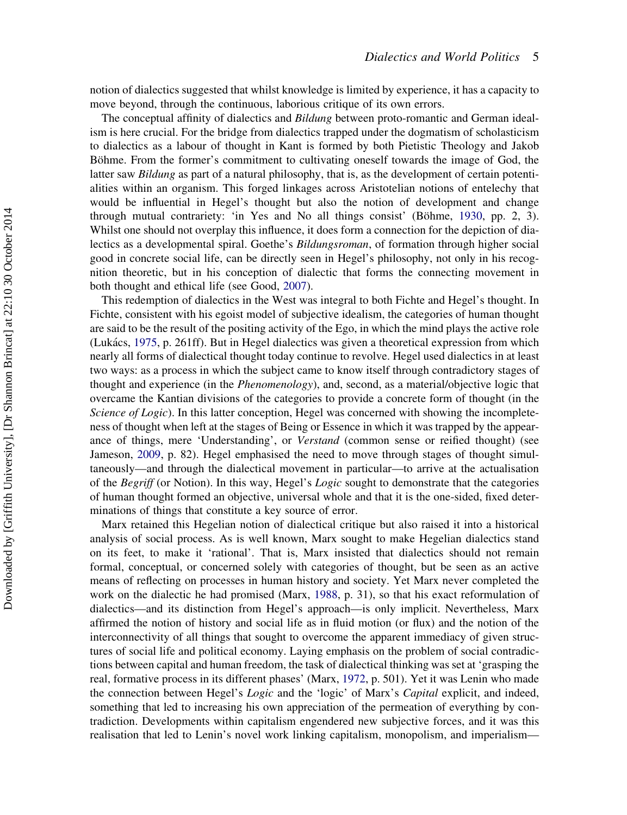notion of dialectics suggested that whilst knowledge is limited by experience, it has a capacity to move beyond, through the continuous, laborious critique of its own errors.

The conceptual affinity of dialectics and Bildung between proto-romantic and German idealism is here crucial. For the bridge from dialectics trapped under the dogmatism of scholasticism to dialectics as a labour of thought in Kant is formed by both Pietistic Theology and Jakob Böhme. From the former's commitment to cultivating oneself towards the image of God, the latter saw *Bildung* as part of a natural philosophy, that is, as the development of certain potentialities within an organism. This forged linkages across Aristotelian notions of entelechy that would be influential in Hegel's thought but also the notion of development and change through mutual contrariety: 'in Yes and No all things consist' (Böhme, [1930](#page-16-0), pp. 2, 3). Whilst one should not overplay this influence, it does form a connection for the depiction of dialectics as a developmental spiral. Goethe's *Bildungsroman*, of formation through higher social good in concrete social life, can be directly seen in Hegel's philosophy, not only in his recognition theoretic, but in his conception of dialectic that forms the connecting movement in both thought and ethical life (see Good, [2007](#page-17-0)).

This redemption of dialectics in the West was integral to both Fichte and Hegel's thought. In Fichte, consistent with his egoist model of subjective idealism, the categories of human thought are said to be the result of the positing activity of the Ego, in which the mind plays the active role (Luka´cs, [1975](#page-17-0), p. 261ff). But in Hegel dialectics was given a theoretical expression from which nearly all forms of dialectical thought today continue to revolve. Hegel used dialectics in at least two ways: as a process in which the subject came to know itself through contradictory stages of thought and experience (in the *Phenomenology*), and, second, as a material/objective logic that overcame the Kantian divisions of the categories to provide a concrete form of thought (in the Science of Logic). In this latter conception, Hegel was concerned with showing the incompleteness of thought when left at the stages of Being or Essence in which it was trapped by the appearance of things, mere 'Understanding', or Verstand (common sense or reified thought) (see Jameson, [2009](#page-17-0), p. 82). Hegel emphasised the need to move through stages of thought simultaneously—and through the dialectical movement in particular—to arrive at the actualisation of the Begriff (or Notion). In this way, Hegel's Logic sought to demonstrate that the categories of human thought formed an objective, universal whole and that it is the one-sided, fixed determinations of things that constitute a key source of error.

Marx retained this Hegelian notion of dialectical critique but also raised it into a historical analysis of social process. As is well known, Marx sought to make Hegelian dialectics stand on its feet, to make it 'rational'. That is, Marx insisted that dialectics should not remain formal, conceptual, or concerned solely with categories of thought, but be seen as an active means of reflecting on processes in human history and society. Yet Marx never completed the work on the dialectic he had promised (Marx, [1988,](#page-17-0) p. 31), so that his exact reformulation of dialectics—and its distinction from Hegel's approach—is only implicit. Nevertheless, Marx affirmed the notion of history and social life as in fluid motion (or flux) and the notion of the interconnectivity of all things that sought to overcome the apparent immediacy of given structures of social life and political economy. Laying emphasis on the problem of social contradictions between capital and human freedom, the task of dialectical thinking was set at 'grasping the real, formative process in its different phases' (Marx, [1972](#page-17-0), p. 501). Yet it was Lenin who made the connection between Hegel's Logic and the 'logic' of Marx's Capital explicit, and indeed, something that led to increasing his own appreciation of the permeation of everything by contradiction. Developments within capitalism engendered new subjective forces, and it was this realisation that led to Lenin's novel work linking capitalism, monopolism, and imperialism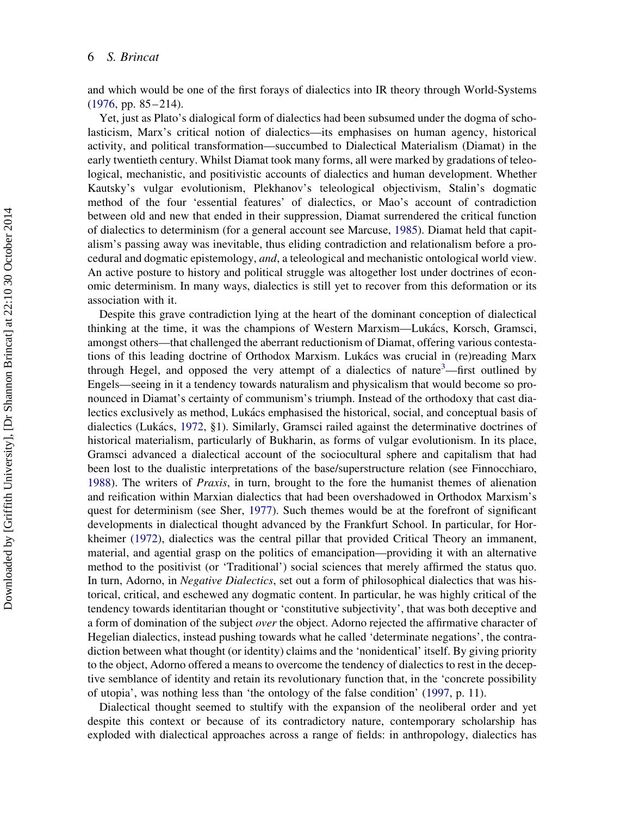and which would be one of the first forays of dialectics into IR theory through World-Systems  $(1976, pp. 85-214).$  $(1976, pp. 85-214).$ 

Yet, just as Plato's dialogical form of dialectics had been subsumed under the dogma of scholasticism, Marx's critical notion of dialectics—its emphasises on human agency, historical activity, and political transformation—succumbed to Dialectical Materialism (Diamat) in the early twentieth century. Whilst Diamat took many forms, all were marked by gradations of teleological, mechanistic, and positivistic accounts of dialectics and human development. Whether Kautsky's vulgar evolutionism, Plekhanov's teleological objectivism, Stalin's dogmatic method of the four 'essential features' of dialectics, or Mao's account of contradiction between old and new that ended in their suppression, Diamat surrendered the critical function of dialectics to determinism (for a general account see Marcuse, [1985](#page-17-0)). Diamat held that capitalism's passing away was inevitable, thus eliding contradiction and relationalism before a procedural and dogmatic epistemology, and, a teleological and mechanistic ontological world view. An active posture to history and political struggle was altogether lost under doctrines of economic determinism. In many ways, dialectics is still yet to recover from this deformation or its association with it.

Despite this grave contradiction lying at the heart of the dominant conception of dialectical thinking at the time, it was the champions of Western Marxism—Luka´cs, Korsch, Gramsci, amongst others—that challenged the aberrant reductionism of Diamat, offering various contestations of this leading doctrine of Orthodox Marxism. Luka´cs was crucial in (re)reading Marx through Hegel, and opposed the very attempt of a dialectics of nature<sup>[3](#page-16-0)</sup>—first outlined by Engels—seeing in it a tendency towards naturalism and physicalism that would become so pronounced in Diamat's certainty of communism's triumph. Instead of the orthodoxy that cast dialectics exclusively as method, Lukács emphasised the historical, social, and conceptual basis of dialectics (Lukács, [1972](#page-17-0), §1). Similarly, Gramsci railed against the determinative doctrines of historical materialism, particularly of Bukharin, as forms of vulgar evolutionism. In its place, Gramsci advanced a dialectical account of the sociocultural sphere and capitalism that had been lost to the dualistic interpretations of the base/superstructure relation (see Finnocchiaro, [1988\)](#page-17-0). The writers of *Praxis*, in turn, brought to the fore the humanist themes of alienation and reification within Marxian dialectics that had been overshadowed in Orthodox Marxism's quest for determinism (see Sher, [1977\)](#page-18-0). Such themes would be at the forefront of significant developments in dialectical thought advanced by the Frankfurt School. In particular, for Horkheimer ([1972\)](#page-17-0), dialectics was the central pillar that provided Critical Theory an immanent, material, and agential grasp on the politics of emancipation—providing it with an alternative method to the positivist (or 'Traditional') social sciences that merely affirmed the status quo. In turn, Adorno, in Negative Dialectics, set out a form of philosophical dialectics that was historical, critical, and eschewed any dogmatic content. In particular, he was highly critical of the tendency towards identitarian thought or 'constitutive subjectivity', that was both deceptive and a form of domination of the subject over the object. Adorno rejected the affirmative character of Hegelian dialectics, instead pushing towards what he called 'determinate negations', the contradiction between what thought (or identity) claims and the 'nonidentical' itself. By giving priority to the object, Adorno offered a means to overcome the tendency of dialectics to rest in the deceptive semblance of identity and retain its revolutionary function that, in the 'concrete possibility of utopia', was nothing less than 'the ontology of the false condition' [\(1997](#page-16-0), p. 11).

Dialectical thought seemed to stultify with the expansion of the neoliberal order and yet despite this context or because of its contradictory nature, contemporary scholarship has exploded with dialectical approaches across a range of fields: in anthropology, dialectics has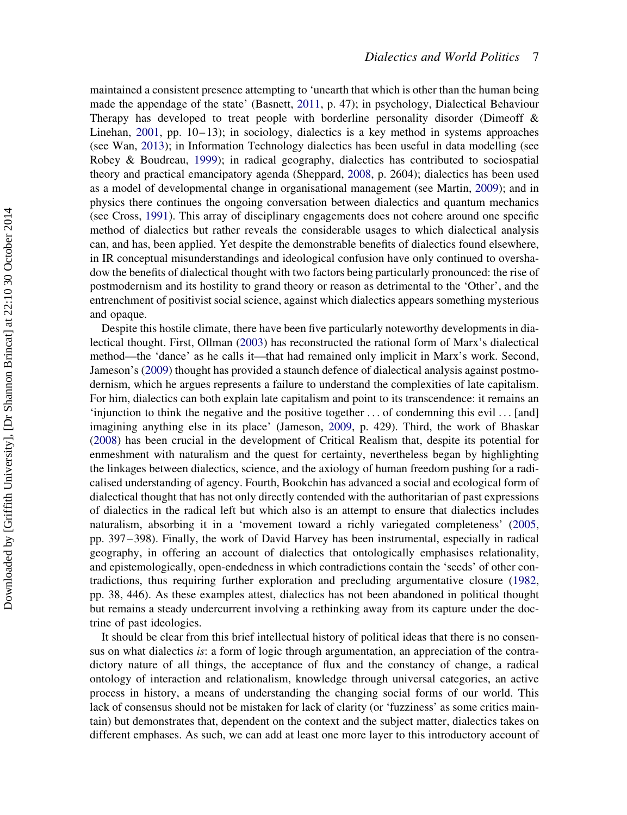maintained a consistent presence attempting to 'unearth that which is other than the human being made the appendage of the state' (Basnett, [2011](#page-16-0), p. 47); in psychology, Dialectical Behaviour Therapy has developed to treat people with borderline personality disorder (Dimeoff & Linehan,  $2001$ , pp.  $10-13$ ; in sociology, dialectics is a key method in systems approaches (see Wan, [2013\)](#page-18-0); in Information Technology dialectics has been useful in data modelling (see Robey & Boudreau, [1999\)](#page-18-0); in radical geography, dialectics has contributed to sociospatial theory and practical emancipatory agenda (Sheppard, [2008](#page-18-0), p. 2604); dialectics has been used as a model of developmental change in organisational management (see Martin, [2009](#page-17-0)); and in physics there continues the ongoing conversation between dialectics and quantum mechanics (see Cross, [1991](#page-16-0)). This array of disciplinary engagements does not cohere around one specific method of dialectics but rather reveals the considerable usages to which dialectical analysis can, and has, been applied. Yet despite the demonstrable benefits of dialectics found elsewhere, in IR conceptual misunderstandings and ideological confusion have only continued to overshadow the benefits of dialectical thought with two factors being particularly pronounced: the rise of postmodernism and its hostility to grand theory or reason as detrimental to the 'Other', and the entrenchment of positivist social science, against which dialectics appears something mysterious and opaque.

Despite this hostile climate, there have been five particularly noteworthy developments in dialectical thought. First, Ollman [\(2003](#page-18-0)) has reconstructed the rational form of Marx's dialectical method—the 'dance' as he calls it—that had remained only implicit in Marx's work. Second, Jameson's [\(2009](#page-17-0)) thought has provided a staunch defence of dialectical analysis against postmodernism, which he argues represents a failure to understand the complexities of late capitalism. For him, dialectics can both explain late capitalism and point to its transcendence: it remains an 'injunction to think the negative and the positive together ... of condemning this evil ... [and] imagining anything else in its place' (Jameson, [2009,](#page-17-0) p. 429). Third, the work of Bhaskar [\(2008](#page-16-0)) has been crucial in the development of Critical Realism that, despite its potential for enmeshment with naturalism and the quest for certainty, nevertheless began by highlighting the linkages between dialectics, science, and the axiology of human freedom pushing for a radicalised understanding of agency. Fourth, Bookchin has advanced a social and ecological form of dialectical thought that has not only directly contended with the authoritarian of past expressions of dialectics in the radical left but which also is an attempt to ensure that dialectics includes naturalism, absorbing it in a 'movement toward a richly variegated completeness' [\(2005](#page-16-0), pp. 397– 398). Finally, the work of David Harvey has been instrumental, especially in radical geography, in offering an account of dialectics that ontologically emphasises relationality, and epistemologically, open-endedness in which contradictions contain the 'seeds' of other contradictions, thus requiring further exploration and precluding argumentative closure [\(1982](#page-17-0), pp. 38, 446). As these examples attest, dialectics has not been abandoned in political thought but remains a steady undercurrent involving a rethinking away from its capture under the doctrine of past ideologies.

It should be clear from this brief intellectual history of political ideas that there is no consensus on what dialectics is: a form of logic through argumentation, an appreciation of the contradictory nature of all things, the acceptance of flux and the constancy of change, a radical ontology of interaction and relationalism, knowledge through universal categories, an active process in history, a means of understanding the changing social forms of our world. This lack of consensus should not be mistaken for lack of clarity (or 'fuzziness' as some critics maintain) but demonstrates that, dependent on the context and the subject matter, dialectics takes on different emphases. As such, we can add at least one more layer to this introductory account of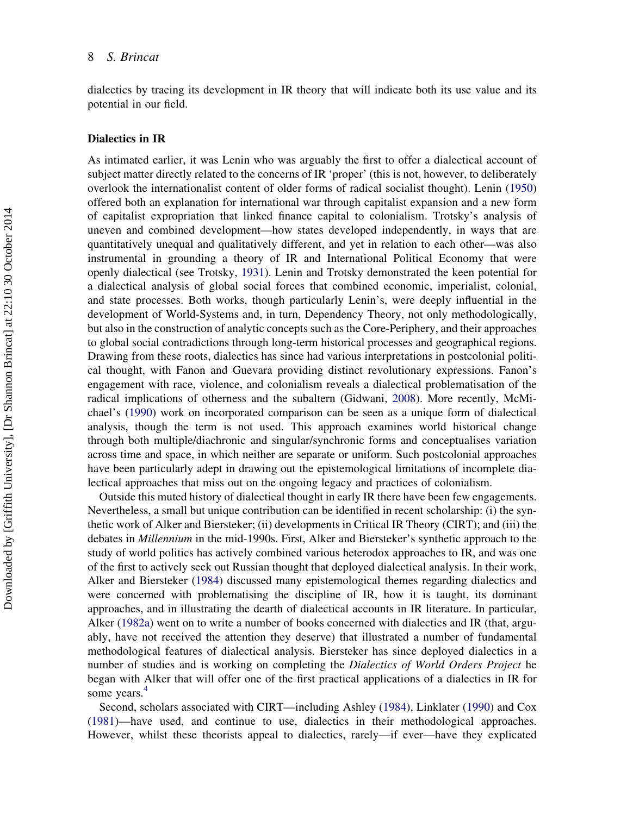dialectics by tracing its development in IR theory that will indicate both its use value and its potential in our field.

#### Dialectics in IR

As intimated earlier, it was Lenin who was arguably the first to offer a dialectical account of subject matter directly related to the concerns of IR 'proper' (this is not, however, to deliberately overlook the internationalist content of older forms of radical socialist thought). Lenin ([1950\)](#page-17-0) offered both an explanation for international war through capitalist expansion and a new form of capitalist expropriation that linked finance capital to colonialism. Trotsky's analysis of uneven and combined development—how states developed independently, in ways that are quantitatively unequal and qualitatively different, and yet in relation to each other—was also instrumental in grounding a theory of IR and International Political Economy that were openly dialectical (see Trotsky, [1931](#page-18-0)). Lenin and Trotsky demonstrated the keen potential for a dialectical analysis of global social forces that combined economic, imperialist, colonial, and state processes. Both works, though particularly Lenin's, were deeply influential in the development of World-Systems and, in turn, Dependency Theory, not only methodologically, but also in the construction of analytic concepts such as the Core-Periphery, and their approaches to global social contradictions through long-term historical processes and geographical regions. Drawing from these roots, dialectics has since had various interpretations in postcolonial political thought, with Fanon and Guevara providing distinct revolutionary expressions. Fanon's engagement with race, violence, and colonialism reveals a dialectical problematisation of the radical implications of otherness and the subaltern (Gidwani, [2008\)](#page-17-0). More recently, McMichael's [\(1990](#page-17-0)) work on incorporated comparison can be seen as a unique form of dialectical analysis, though the term is not used. This approach examines world historical change through both multiple/diachronic and singular/synchronic forms and conceptualises variation across time and space, in which neither are separate or uniform. Such postcolonial approaches have been particularly adept in drawing out the epistemological limitations of incomplete dialectical approaches that miss out on the ongoing legacy and practices of colonialism.

Outside this muted history of dialectical thought in early IR there have been few engagements. Nevertheless, a small but unique contribution can be identified in recent scholarship: (i) the synthetic work of Alker and Biersteker; (ii) developments in Critical IR Theory (CIRT); and (iii) the debates in Millennium in the mid-1990s. First, Alker and Biersteker's synthetic approach to the study of world politics has actively combined various heterodox approaches to IR, and was one of the first to actively seek out Russian thought that deployed dialectical analysis. In their work, Alker and Biersteker [\(1984](#page-16-0)) discussed many epistemological themes regarding dialectics and were concerned with problematising the discipline of IR, how it is taught, its dominant approaches, and in illustrating the dearth of dialectical accounts in IR literature. In particular, Alker ([1982a](#page-16-0)) went on to write a number of books concerned with dialectics and IR (that, arguably, have not received the attention they deserve) that illustrated a number of fundamental methodological features of dialectical analysis. Biersteker has since deployed dialectics in a number of studies and is working on completing the Dialectics of World Orders Project he began with Alker that will offer one of the first practical applications of a dialectics in IR for some years.<sup>[4](#page-16-0)</sup>

Second, scholars associated with CIRT—including Ashley [\(1984](#page-16-0)), Linklater ([1990\)](#page-17-0) and Cox [\(1981](#page-16-0))—have used, and continue to use, dialectics in their methodological approaches. However, whilst these theorists appeal to dialectics, rarely—if ever—have they explicated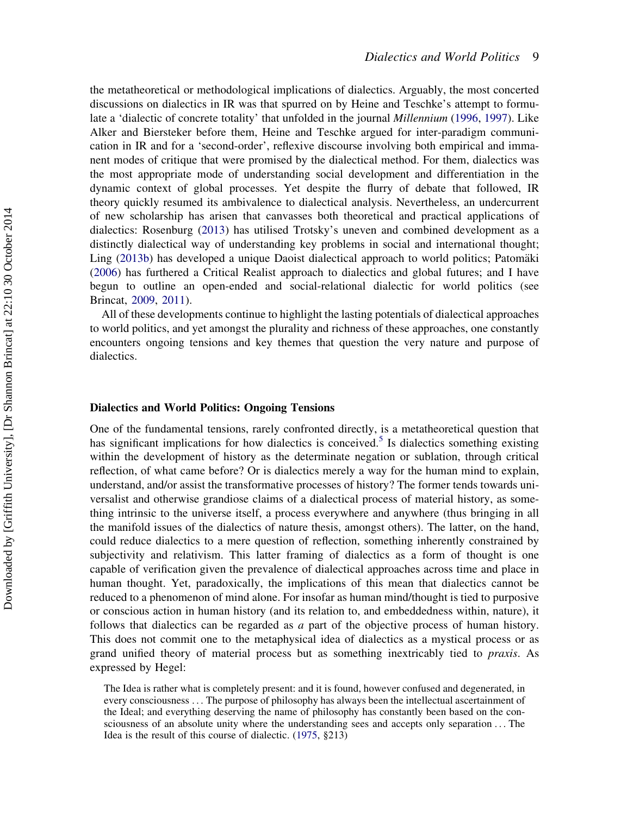the metatheoretical or methodological implications of dialectics. Arguably, the most concerted discussions on dialectics in IR was that spurred on by Heine and Teschke's attempt to formulate a 'dialectic of concrete totality' that unfolded in the journal Millennium ([1996,](#page-17-0) [1997\)](#page-17-0). Like Alker and Biersteker before them, Heine and Teschke argued for inter-paradigm communication in IR and for a 'second-order', reflexive discourse involving both empirical and immanent modes of critique that were promised by the dialectical method. For them, dialectics was the most appropriate mode of understanding social development and differentiation in the dynamic context of global processes. Yet despite the flurry of debate that followed, IR theory quickly resumed its ambivalence to dialectical analysis. Nevertheless, an undercurrent of new scholarship has arisen that canvasses both theoretical and practical applications of dialectics: Rosenburg [\(2013](#page-18-0)) has utilised Trotsky's uneven and combined development as a distinctly dialectical way of understanding key problems in social and international thought; Ling ([2013b\)](#page-17-0) has developed a unique Daoist dialectical approach to world politics; Patomäki [\(2006](#page-18-0)) has furthered a Critical Realist approach to dialectics and global futures; and I have begun to outline an open-ended and social-relational dialectic for world politics (see Brincat, [2009](#page-16-0), [2011\)](#page-16-0).

All of these developments continue to highlight the lasting potentials of dialectical approaches to world politics, and yet amongst the plurality and richness of these approaches, one constantly encounters ongoing tensions and key themes that question the very nature and purpose of dialectics.

## Dialectics and World Politics: Ongoing Tensions

One of the fundamental tensions, rarely confronted directly, is a metatheoretical question that has significant implications for how dialectics is conceived.<sup>[5](#page-16-0)</sup> Is dialectics something existing within the development of history as the determinate negation or sublation, through critical reflection, of what came before? Or is dialectics merely a way for the human mind to explain, understand, and/or assist the transformative processes of history? The former tends towards universalist and otherwise grandiose claims of a dialectical process of material history, as something intrinsic to the universe itself, a process everywhere and anywhere (thus bringing in all the manifold issues of the dialectics of nature thesis, amongst others). The latter, on the hand, could reduce dialectics to a mere question of reflection, something inherently constrained by subjectivity and relativism. This latter framing of dialectics as a form of thought is one capable of verification given the prevalence of dialectical approaches across time and place in human thought. Yet, paradoxically, the implications of this mean that dialectics cannot be reduced to a phenomenon of mind alone. For insofar as human mind/thought is tied to purposive or conscious action in human history (and its relation to, and embeddedness within, nature), it follows that dialectics can be regarded as a part of the objective process of human history. This does not commit one to the metaphysical idea of dialectics as a mystical process or as grand unified theory of material process but as something inextricably tied to praxis. As expressed by Hegel:

The Idea is rather what is completely present: and it is found, however confused and degenerated, in every consciousness ... The purpose of philosophy has always been the intellectual ascertainment of the Ideal; and everything deserving the name of philosophy has constantly been based on the consciousness of an absolute unity where the understanding sees and accepts only separation ... The Idea is the result of this course of dialectic. [\(1975](#page-17-0), §213)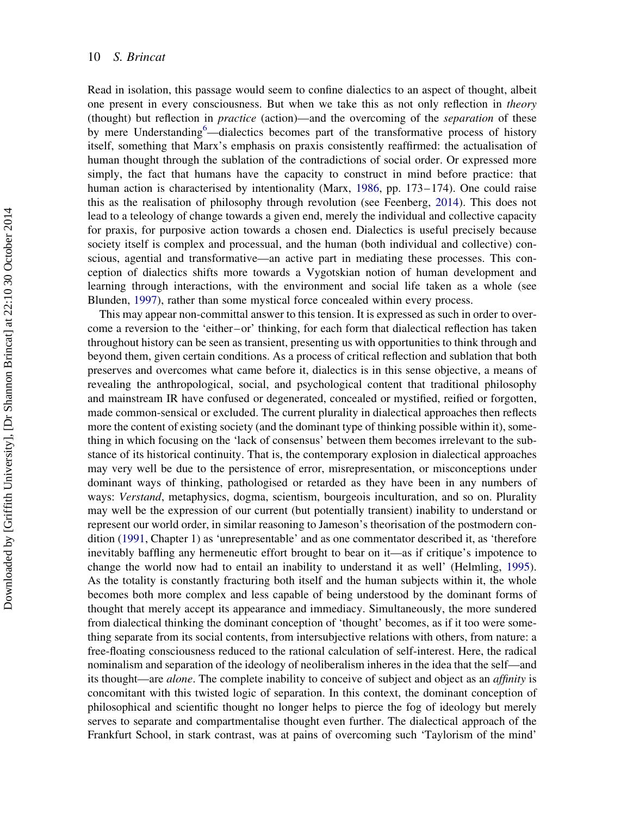Read in isolation, this passage would seem to confine dialectics to an aspect of thought, albeit one present in every consciousness. But when we take this as not only reflection in theory (thought) but reflection in practice (action)—and the overcoming of the separation of these by mere Understanding<sup>[6](#page-16-0)</sup>—dialectics becomes part of the transformative process of history itself, something that Marx's emphasis on praxis consistently reaffirmed: the actualisation of human thought through the sublation of the contradictions of social order. Or expressed more simply, the fact that humans have the capacity to construct in mind before practice: that human action is characterised by intentionality (Marx, [1986](#page-17-0), pp.  $173-174$ ). One could raise this as the realisation of philosophy through revolution (see Feenberg, [2014](#page-17-0)). This does not lead to a teleology of change towards a given end, merely the individual and collective capacity for praxis, for purposive action towards a chosen end. Dialectics is useful precisely because society itself is complex and processual, and the human (both individual and collective) conscious, agential and transformative—an active part in mediating these processes. This conception of dialectics shifts more towards a Vygotskian notion of human development and learning through interactions, with the environment and social life taken as a whole (see Blunden, [1997](#page-16-0)), rather than some mystical force concealed within every process.

This may appear non-committal answer to this tension. It is expressed as such in order to overcome a reversion to the 'either – or' thinking, for each form that dialectical reflection has taken throughout history can be seen as transient, presenting us with opportunities to think through and beyond them, given certain conditions. As a process of critical reflection and sublation that both preserves and overcomes what came before it, dialectics is in this sense objective, a means of revealing the anthropological, social, and psychological content that traditional philosophy and mainstream IR have confused or degenerated, concealed or mystified, reified or forgotten, made common-sensical or excluded. The current plurality in dialectical approaches then reflects more the content of existing society (and the dominant type of thinking possible within it), something in which focusing on the 'lack of consensus' between them becomes irrelevant to the substance of its historical continuity. That is, the contemporary explosion in dialectical approaches may very well be due to the persistence of error, misrepresentation, or misconceptions under dominant ways of thinking, pathologised or retarded as they have been in any numbers of ways: *Verstand*, metaphysics, dogma, scientism, bourgeois inculturation, and so on. Plurality may well be the expression of our current (but potentially transient) inability to understand or represent our world order, in similar reasoning to Jameson's theorisation of the postmodern condition [\(1991](#page-17-0), Chapter 1) as 'unrepresentable' and as one commentator described it, as 'therefore inevitably baffling any hermeneutic effort brought to bear on it—as if critique's impotence to change the world now had to entail an inability to understand it as well' (Helmling, [1995](#page-17-0)). As the totality is constantly fracturing both itself and the human subjects within it, the whole becomes both more complex and less capable of being understood by the dominant forms of thought that merely accept its appearance and immediacy. Simultaneously, the more sundered from dialectical thinking the dominant conception of 'thought' becomes, as if it too were something separate from its social contents, from intersubjective relations with others, from nature: a free-floating consciousness reduced to the rational calculation of self-interest. Here, the radical nominalism and separation of the ideology of neoliberalism inheres in the idea that the self—and its thought—are alone. The complete inability to conceive of subject and object as an affinity is concomitant with this twisted logic of separation. In this context, the dominant conception of philosophical and scientific thought no longer helps to pierce the fog of ideology but merely serves to separate and compartmentalise thought even further. The dialectical approach of the Frankfurt School, in stark contrast, was at pains of overcoming such 'Taylorism of the mind'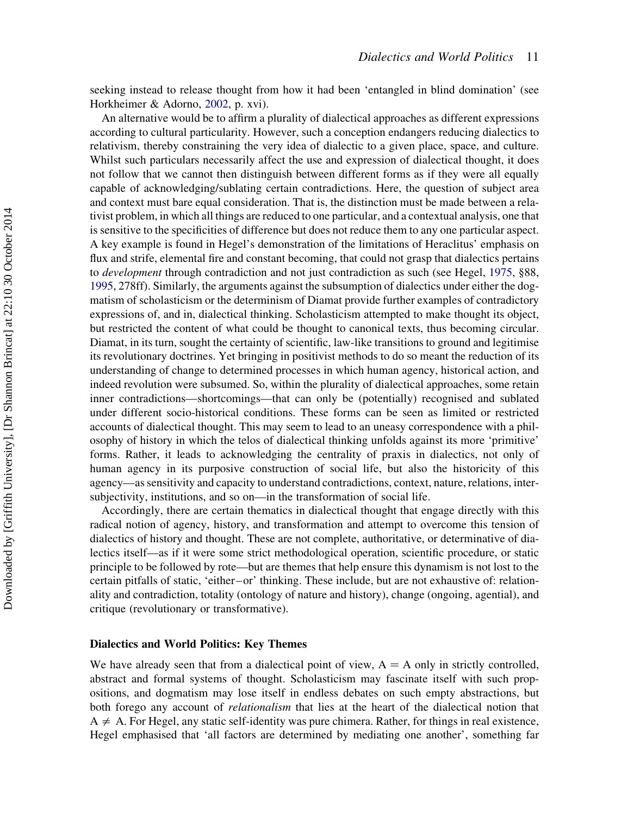seeking instead to release thought from how it had been 'entangled in blind domination' (see Horkheimer & Adorno, [2002](#page-17-0), p. xvi).

An alternative would be to affirm a plurality of dialectical approaches as different expressions according to cultural particularity. However, such a conception endangers reducing dialectics to relativism, thereby constraining the very idea of dialectic to a given place, space, and culture. Whilst such particulars necessarily affect the use and expression of dialectical thought, it does not follow that we cannot then distinguish between different forms as if they were all equally capable of acknowledging/sublating certain contradictions. Here, the question of subject area and context must bare equal consideration. That is, the distinction must be made between a relativist problem, in which all things are reduced to one particular, and a contextual analysis, one that is sensitive to the specificities of difference but does not reduce them to any one particular aspect. A key example is found in Hegel's demonstration of the limitations of Heraclitus' emphasis on flux and strife, elemental fire and constant becoming, that could not grasp that dialectics pertains to *development* through contradiction and not just contradiction as such (see Hegel, [1975,](#page-17-0) §88, [1995,](#page-17-0) 278ff). Similarly, the arguments against the subsumption of dialectics under either the dogmatism of scholasticism or the determinism of Diamat provide further examples of contradictory expressions of, and in, dialectical thinking. Scholasticism attempted to make thought its object, but restricted the content of what could be thought to canonical texts, thus becoming circular. Diamat, in its turn, sought the certainty of scientific, law-like transitions to ground and legitimise its revolutionary doctrines. Yet bringing in positivist methods to do so meant the reduction of its understanding of change to determined processes in which human agency, historical action, and indeed revolution were subsumed. So, within the plurality of dialectical approaches, some retain inner contradictions—shortcomings—that can only be (potentially) recognised and sublated under different socio-historical conditions. These forms can be seen as limited or restricted accounts of dialectical thought. This may seem to lead to an uneasy correspondence with a philosophy of history in which the telos of dialectical thinking unfolds against its more 'primitive' forms. Rather, it leads to acknowledging the centrality of praxis in dialectics, not only of human agency in its purposive construction of social life, but also the historicity of this agency—as sensitivity and capacity to understand contradictions, context, nature, relations, intersubjectivity, institutions, and so on—in the transformation of social life.

Accordingly, there are certain thematics in dialectical thought that engage directly with this radical notion of agency, history, and transformation and attempt to overcome this tension of dialectics of history and thought. These are not complete, authoritative, or determinative of dialectics itself—as if it were some strict methodological operation, scientific procedure, or static principle to be followed by rote—but are themes that help ensure this dynamism is not lost to the certain pitfalls of static, 'either – or' thinking. These include, but are not exhaustive of: relationality and contradiction, totality (ontology of nature and history), change (ongoing, agential), and critique (revolutionary or transformative).

#### Dialectics and World Politics: Key Themes

We have already seen that from a dialectical point of view,  $A = A$  only in strictly controlled, abstract and formal systems of thought. Scholasticism may fascinate itself with such propositions, and dogmatism may lose itself in endless debates on such empty abstractions, but both forego any account of *relationalism* that lies at the heart of the dialectical notion that  $A \neq A$ . For Hegel, any static self-identity was pure chimera. Rather, for things in real existence, Hegel emphasised that 'all factors are determined by mediating one another', something far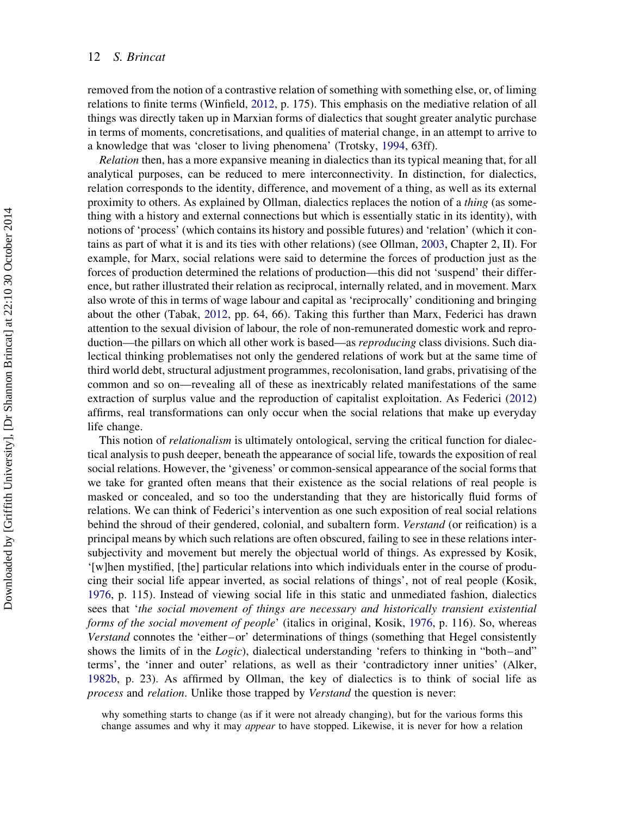removed from the notion of a contrastive relation of something with something else, or, of liming relations to finite terms (Winfield, [2012,](#page-18-0) p. 175). This emphasis on the mediative relation of all things was directly taken up in Marxian forms of dialectics that sought greater analytic purchase in terms of moments, concretisations, and qualities of material change, in an attempt to arrive to a knowledge that was 'closer to living phenomena' (Trotsky, [1994](#page-18-0), 63ff).

Relation then, has a more expansive meaning in dialectics than its typical meaning that, for all analytical purposes, can be reduced to mere interconnectivity. In distinction, for dialectics, relation corresponds to the identity, difference, and movement of a thing, as well as its external proximity to others. As explained by Ollman, dialectics replaces the notion of a thing (as something with a history and external connections but which is essentially static in its identity), with notions of 'process' (which contains its history and possible futures) and 'relation' (which it contains as part of what it is and its ties with other relations) (see Ollman, [2003](#page-18-0), Chapter 2, II). For example, for Marx, social relations were said to determine the forces of production just as the forces of production determined the relations of production—this did not 'suspend' their difference, but rather illustrated their relation as reciprocal, internally related, and in movement. Marx also wrote of this in terms of wage labour and capital as 'reciprocally' conditioning and bringing about the other (Tabak, [2012,](#page-18-0) pp. 64, 66). Taking this further than Marx, Federici has drawn attention to the sexual division of labour, the role of non-remunerated domestic work and reproduction—the pillars on which all other work is based—as *reproducing* class divisions. Such dialectical thinking problematises not only the gendered relations of work but at the same time of third world debt, structural adjustment programmes, recolonisation, land grabs, privatising of the common and so on—revealing all of these as inextricably related manifestations of the same extraction of surplus value and the reproduction of capitalist exploitation. As Federici ([2012\)](#page-17-0) affirms, real transformations can only occur when the social relations that make up everyday life change.

This notion of *relationalism* is ultimately ontological, serving the critical function for dialectical analysis to push deeper, beneath the appearance of social life, towards the exposition of real social relations. However, the 'giveness' or common-sensical appearance of the social forms that we take for granted often means that their existence as the social relations of real people is masked or concealed, and so too the understanding that they are historically fluid forms of relations. We can think of Federici's intervention as one such exposition of real social relations behind the shroud of their gendered, colonial, and subaltern form. Verstand (or reification) is a principal means by which such relations are often obscured, failing to see in these relations intersubjectivity and movement but merely the objectual world of things. As expressed by Kosik, '[w]hen mystified, [the] particular relations into which individuals enter in the course of producing their social life appear inverted, as social relations of things', not of real people (Kosik, [1976,](#page-17-0) p. 115). Instead of viewing social life in this static and unmediated fashion, dialectics sees that 'the social movement of things are necessary and historically transient existential forms of the social movement of people' (italics in original, Kosik, [1976,](#page-17-0) p. 116). So, whereas Verstand connotes the 'either – or' determinations of things (something that Hegel consistently shows the limits of in the *Logic*), dialectical understanding 'refers to thinking in "both-and" terms', the 'inner and outer' relations, as well as their 'contradictory inner unities' (Alker, [1982b,](#page-16-0) p. 23). As affirmed by Ollman, the key of dialectics is to think of social life as process and relation. Unlike those trapped by Verstand the question is never:

why something starts to change (as if it were not already changing), but for the various forms this change assumes and why it may appear to have stopped. Likewise, it is never for how a relation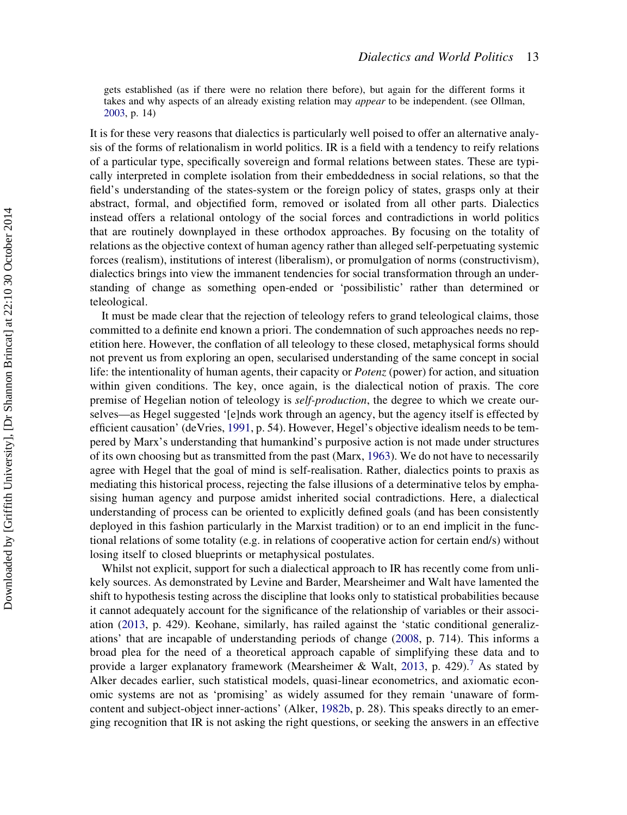gets established (as if there were no relation there before), but again for the different forms it takes and why aspects of an already existing relation may appear to be independent. (see Ollman, [2003,](#page-18-0) p. 14)

It is for these very reasons that dialectics is particularly well poised to offer an alternative analysis of the forms of relationalism in world politics. IR is a field with a tendency to reify relations of a particular type, specifically sovereign and formal relations between states. These are typically interpreted in complete isolation from their embeddedness in social relations, so that the field's understanding of the states-system or the foreign policy of states, grasps only at their abstract, formal, and objectified form, removed or isolated from all other parts. Dialectics instead offers a relational ontology of the social forces and contradictions in world politics that are routinely downplayed in these orthodox approaches. By focusing on the totality of relations as the objective context of human agency rather than alleged self-perpetuating systemic forces (realism), institutions of interest (liberalism), or promulgation of norms (constructivism), dialectics brings into view the immanent tendencies for social transformation through an understanding of change as something open-ended or 'possibilistic' rather than determined or teleological.

It must be made clear that the rejection of teleology refers to grand teleological claims, those committed to a definite end known a priori. The condemnation of such approaches needs no repetition here. However, the conflation of all teleology to these closed, metaphysical forms should not prevent us from exploring an open, secularised understanding of the same concept in social life: the intentionality of human agents, their capacity or *Potenz* (power) for action, and situation within given conditions. The key, once again, is the dialectical notion of praxis. The core premise of Hegelian notion of teleology is self-production, the degree to which we create ourselves—as Hegel suggested '[e]nds work through an agency, but the agency itself is effected by efficient causation' (deVries, [1991](#page-18-0), p. 54). However, Hegel's objective idealism needs to be tempered by Marx's understanding that humankind's purposive action is not made under structures of its own choosing but as transmitted from the past (Marx, [1963\)](#page-17-0). We do not have to necessarily agree with Hegel that the goal of mind is self-realisation. Rather, dialectics points to praxis as mediating this historical process, rejecting the false illusions of a determinative telos by emphasising human agency and purpose amidst inherited social contradictions. Here, a dialectical understanding of process can be oriented to explicitly defined goals (and has been consistently deployed in this fashion particularly in the Marxist tradition) or to an end implicit in the functional relations of some totality (e.g. in relations of cooperative action for certain end/s) without losing itself to closed blueprints or metaphysical postulates.

Whilst not explicit, support for such a dialectical approach to IR has recently come from unlikely sources. As demonstrated by Levine and Barder, Mearsheimer and Walt have lamented the shift to hypothesis testing across the discipline that looks only to statistical probabilities because it cannot adequately account for the significance of the relationship of variables or their association [\(2013](#page-18-0), p. 429). Keohane, similarly, has railed against the 'static conditional generalizations' that are incapable of understanding periods of change [\(2008](#page-17-0), p. 714). This informs a broad plea for the need of a theoretical approach capable of simplifying these data and to provide a larger explanatory framework (Mearsheimer & Walt, [2013](#page-18-0), p. 429).<sup>[7](#page-16-0)</sup> As stated by Alker decades earlier, such statistical models, quasi-linear econometrics, and axiomatic economic systems are not as 'promising' as widely assumed for they remain 'unaware of formcontent and subject-object inner-actions' (Alker, [1982b](#page-16-0), p. 28). This speaks directly to an emerging recognition that IR is not asking the right questions, or seeking the answers in an effective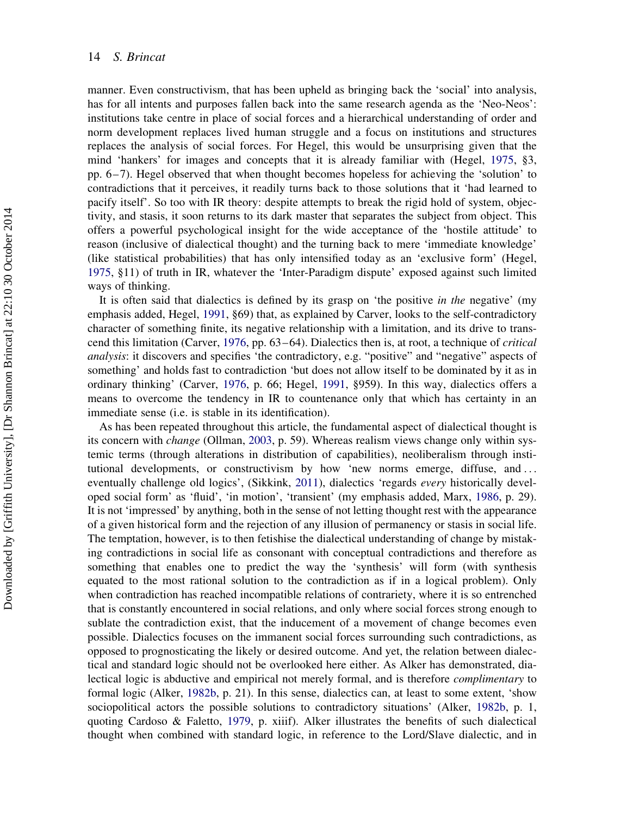manner. Even constructivism, that has been upheld as bringing back the 'social' into analysis, has for all intents and purposes fallen back into the same research agenda as the 'Neo-Neos': institutions take centre in place of social forces and a hierarchical understanding of order and norm development replaces lived human struggle and a focus on institutions and structures replaces the analysis of social forces. For Hegel, this would be unsurprising given that the mind 'hankers' for images and concepts that it is already familiar with (Hegel, [1975](#page-17-0), §3, pp.  $6-7$ ). Hegel observed that when thought becomes hopeless for achieving the 'solution' to contradictions that it perceives, it readily turns back to those solutions that it 'had learned to pacify itself'. So too with IR theory: despite attempts to break the rigid hold of system, objectivity, and stasis, it soon returns to its dark master that separates the subject from object. This offers a powerful psychological insight for the wide acceptance of the 'hostile attitude' to reason (inclusive of dialectical thought) and the turning back to mere 'immediate knowledge' (like statistical probabilities) that has only intensified today as an 'exclusive form' (Hegel, [1975,](#page-17-0) §11) of truth in IR, whatever the 'Inter-Paradigm dispute' exposed against such limited ways of thinking.

It is often said that dialectics is defined by its grasp on 'the positive in the negative' (my emphasis added, Hegel, [1991](#page-17-0), §69) that, as explained by Carver, looks to the self-contradictory character of something finite, its negative relationship with a limitation, and its drive to trans-cend this limitation (Carver, [1976](#page-16-0), pp.  $63-64$ ). Dialectics then is, at root, a technique of *critical* analysis: it discovers and specifies 'the contradictory, e.g. "positive" and "negative" aspects of something' and holds fast to contradiction 'but does not allow itself to be dominated by it as in ordinary thinking' (Carver, [1976,](#page-16-0) p. 66; Hegel, [1991](#page-17-0), §959). In this way, dialectics offers a means to overcome the tendency in IR to countenance only that which has certainty in an immediate sense (i.e. is stable in its identification).

As has been repeated throughout this article, the fundamental aspect of dialectical thought is its concern with *change* (Ollman, [2003](#page-18-0), p. 59). Whereas realism views change only within systemic terms (through alterations in distribution of capabilities), neoliberalism through institutional developments, or constructivism by how 'new norms emerge, diffuse, and ... eventually challenge old logics', (Sikkink, [2011](#page-18-0)), dialectics 'regards every historically developed social form' as 'fluid', 'in motion', 'transient' (my emphasis added, Marx, [1986,](#page-17-0) p. 29). It is not 'impressed' by anything, both in the sense of not letting thought rest with the appearance of a given historical form and the rejection of any illusion of permanency or stasis in social life. The temptation, however, is to then fetishise the dialectical understanding of change by mistaking contradictions in social life as consonant with conceptual contradictions and therefore as something that enables one to predict the way the 'synthesis' will form (with synthesis equated to the most rational solution to the contradiction as if in a logical problem). Only when contradiction has reached incompatible relations of contrariety, where it is so entrenched that is constantly encountered in social relations, and only where social forces strong enough to sublate the contradiction exist, that the inducement of a movement of change becomes even possible. Dialectics focuses on the immanent social forces surrounding such contradictions, as opposed to prognosticating the likely or desired outcome. And yet, the relation between dialectical and standard logic should not be overlooked here either. As Alker has demonstrated, dialectical logic is abductive and empirical not merely formal, and is therefore complimentary to formal logic (Alker, [1982b,](#page-16-0) p. 21). In this sense, dialectics can, at least to some extent, 'show sociopolitical actors the possible solutions to contradictory situations' (Alker, [1982b](#page-16-0), p. 1, quoting Cardoso & Faletto, [1979](#page-16-0), p. xiiif). Alker illustrates the benefits of such dialectical thought when combined with standard logic, in reference to the Lord/Slave dialectic, and in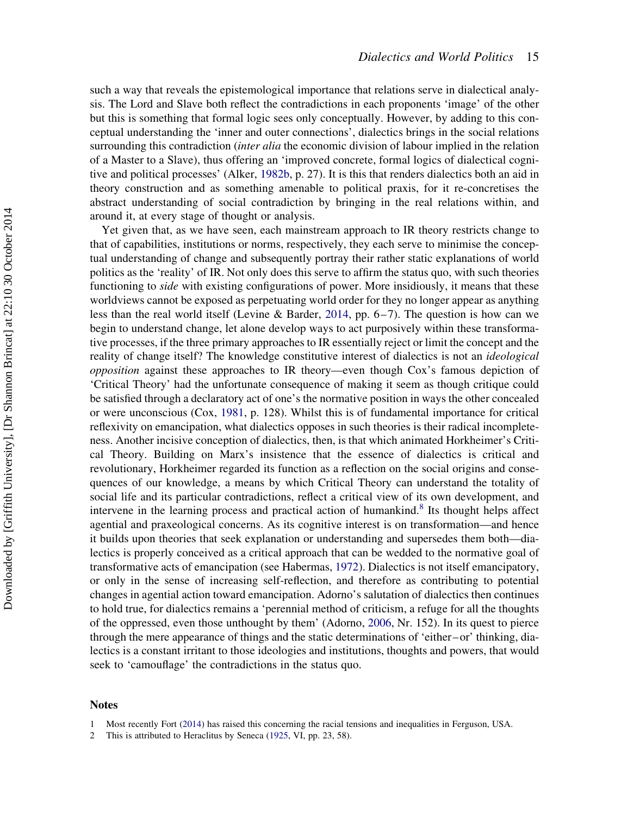<span id="page-15-0"></span>such a way that reveals the epistemological importance that relations serve in dialectical analysis. The Lord and Slave both reflect the contradictions in each proponents 'image' of the other but this is something that formal logic sees only conceptually. However, by adding to this conceptual understanding the 'inner and outer connections', dialectics brings in the social relations surrounding this contradiction *(inter alia* the economic division of labour implied in the relation of a Master to a Slave), thus offering an 'improved concrete, formal logics of dialectical cognitive and political processes' (Alker, [1982b](#page-16-0), p. 27). It is this that renders dialectics both an aid in theory construction and as something amenable to political praxis, for it re-concretises the abstract understanding of social contradiction by bringing in the real relations within, and around it, at every stage of thought or analysis.

Yet given that, as we have seen, each mainstream approach to IR theory restricts change to that of capabilities, institutions or norms, respectively, they each serve to minimise the conceptual understanding of change and subsequently portray their rather static explanations of world politics as the 'reality' of IR. Not only does this serve to affirm the status quo, with such theories functioning to *side* with existing configurations of power. More insidiously, it means that these worldviews cannot be exposed as perpetuating world order for they no longer appear as anything less than the real world itself (Levine & Barder, [2014](#page-17-0), pp.  $6-7$ ). The question is how can we begin to understand change, let alone develop ways to act purposively within these transformative processes, if the three primary approaches to IR essentially reject or limit the concept and the reality of change itself? The knowledge constitutive interest of dialectics is not an *ideological* opposition against these approaches to IR theory—even though Cox's famous depiction of 'Critical Theory' had the unfortunate consequence of making it seem as though critique could be satisfied through a declaratory act of one's the normative position in ways the other concealed or were unconscious (Cox, [1981,](#page-16-0) p. 128). Whilst this is of fundamental importance for critical reflexivity on emancipation, what dialectics opposes in such theories is their radical incompleteness. Another incisive conception of dialectics, then, is that which animated Horkheimer's Critical Theory. Building on Marx's insistence that the essence of dialectics is critical and revolutionary, Horkheimer regarded its function as a reflection on the social origins and consequences of our knowledge, a means by which Critical Theory can understand the totality of social life and its particular contradictions, reflect a critical view of its own development, and intervene in the learning process and practical action of humankind.<sup>8</sup> Its thought helps affect agential and praxeological concerns. As its cognitive interest is on transformation—and hence it builds upon theories that seek explanation or understanding and supersedes them both—dialectics is properly conceived as a critical approach that can be wedded to the normative goal of transformative acts of emancipation (see Habermas, [1972\)](#page-17-0). Dialectics is not itself emancipatory, or only in the sense of increasing self-reflection, and therefore as contributing to potential changes in agential action toward emancipation. Adorno's salutation of dialectics then continues to hold true, for dialectics remains a 'perennial method of criticism, a refuge for all the thoughts of the oppressed, even those unthought by them' (Adorno, [2006,](#page-16-0) Nr. 152). In its quest to pierce through the mere appearance of things and the static determinations of 'either – or' thinking, dialectics is a constant irritant to those ideologies and institutions, thoughts and powers, that would seek to 'camouflage' the contradictions in the status quo.

#### Notes

<sup>1</sup> Most recently Fort [\(2014](#page-17-0)) has raised this concerning the racial tensions and inequalities in Ferguson, USA.

<sup>2</sup> This is attributed to Heraclitus by Seneca [\(1925](#page-18-0), VI, pp. 23, 58).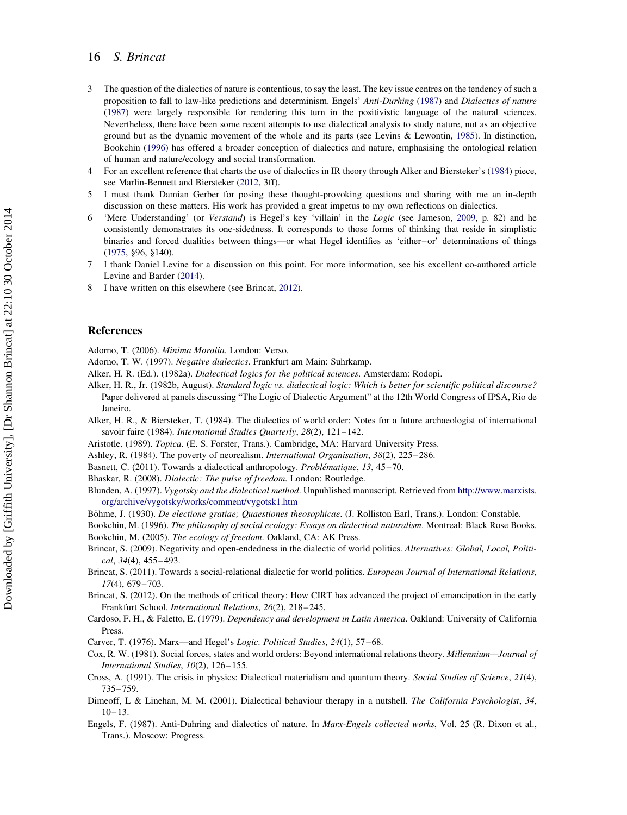- <span id="page-16-0"></span>3 The question of the dialectics of nature is contentious, to say the least. The key issue centres on the tendency of such a proposition to fall to law-like predictions and determinism. Engels' Anti-Durhing (1987) and Dialectics of nature (1987) were largely responsible for rendering this turn in the positivistic language of the natural sciences. Nevertheless, there have been some recent attempts to use dialectical analysis to study nature, not as an objective ground but as the dynamic movement of the whole and its parts (see Levins & Lewontin, [1985\)](#page-17-0). In distinction, Bookchin (1996) has offered a broader conception of dialectics and nature, emphasising the ontological relation of human and nature/ecology and social transformation.
- 4 For an excellent reference that charts the use of dialectics in IR theory through Alker and Biersteker's (1984) piece, see Marlin-Bennett and Biersteker [\(2012](#page-17-0), 3ff).
- 5 I must thank Damian Gerber for posing these thought-provoking questions and sharing with me an in-depth discussion on these matters. His work has provided a great impetus to my own reflections on dialectics.
- 6 'Mere Understanding' (or Verstand) is Hegel's key 'villain' in the Logic (see Jameson, [2009](#page-17-0), p. 82) and he consistently demonstrates its one-sidedness. It corresponds to those forms of thinking that reside in simplistic binaries and forced dualities between things—or what Hegel identifies as 'either–or' determinations of things ([1975](#page-17-0), §96, §140).
- 7 I thank Daniel Levine for a discussion on this point. For more information, see his excellent co-authored article Levine and Barder [\(2014](#page-17-0)).
- I have written on this elsewhere (see Brincat, 2012).

#### References

Adorno, T. (2006). Minima Moralia. London: Verso.

- Adorno, T. W. (1997). Negative dialectics. Frankfurt am Main: Suhrkamp.
- Alker, H. R. (Ed.). (1982a). Dialectical logics for the political sciences. Amsterdam: Rodopi.
- Alker, H. R., Jr. (1982b, August). Standard logic vs. dialectical logic: Which is better for scientific political discourse? Paper delivered at panels discussing "The Logic of Dialectic Argument" at the 12th World Congress of IPSA, Rio de Janeiro.
- Alker, H. R., & Biersteker, T. (1984). The dialectics of world order: Notes for a future archaeologist of international savoir faire (1984). International Studies Quarterly, 28(2), 121-142.
- Aristotle. (1989). Topica. (E. S. Forster, Trans.). Cambridge, MA: Harvard University Press.
- Ashley, R. (1984). The poverty of neorealism. International Organisation, 38(2), 225– 286.
- Basnett, C. (2011). Towards a dialectical anthropology. *Problématique, 13, 45–70.*
- Bhaskar, R. (2008). Dialectic: The pulse of freedom. London: Routledge.
- Blunden, A. (1997). Vygotsky and the dialectical method. Unpublished manuscript. Retrieved from [http://www.marxists.](http://www.marxists.org/archive/vygotsky/works/comment/vygotsk1.htm) [org/archive/vygotsky/works/comment/vygotsk1.htm](http://www.marxists.org/archive/vygotsky/works/comment/vygotsk1.htm)
- Böhme, J. (1930). De electione gratiae; Quaestiones theosophicae. (J. Rolliston Earl, Trans.). London: Constable.
- Bookchin, M. (1996). The philosophy of social ecology: Essays on dialectical naturalism. Montreal: Black Rose Books. Bookchin, M. (2005). The ecology of freedom. Oakland, CA: AK Press.
- Brincat, S. (2009). Negativity and open-endedness in the dialectic of world politics. Alternatives: Global, Local, Political, 34(4), 455-493.
- Brincat, S. (2011). Towards a social-relational dialectic for world politics. European Journal of International Relations, 17(4), 679–703.
- Brincat, S. (2012). On the methods of critical theory: How CIRT has advanced the project of emancipation in the early Frankfurt School. International Relations, 26(2), 218-245.
- Cardoso, F. H., & Faletto, E. (1979). Dependency and development in Latin America. Oakland: University of California Press.
- Carver, T. (1976). Marx—and Hegel's Logic. Political Studies, 24(1), 57–68.
- Cox, R. W. (1981). Social forces, states and world orders: Beyond international relations theory. Millennium—Journal of International Studies, 10(2), 126– 155.
- Cross, A. (1991). The crisis in physics: Dialectical materialism and quantum theory. Social Studies of Science, 21(4), 735– 759.
- Dimeoff, L & Linehan, M. M. (2001). Dialectical behaviour therapy in a nutshell. The California Psychologist, 34,  $10 - 13$ .
- Engels, F. (1987). Anti-Duhring and dialectics of nature. In Marx-Engels collected works, Vol. 25 (R. Dixon et al., Trans.). Moscow: Progress.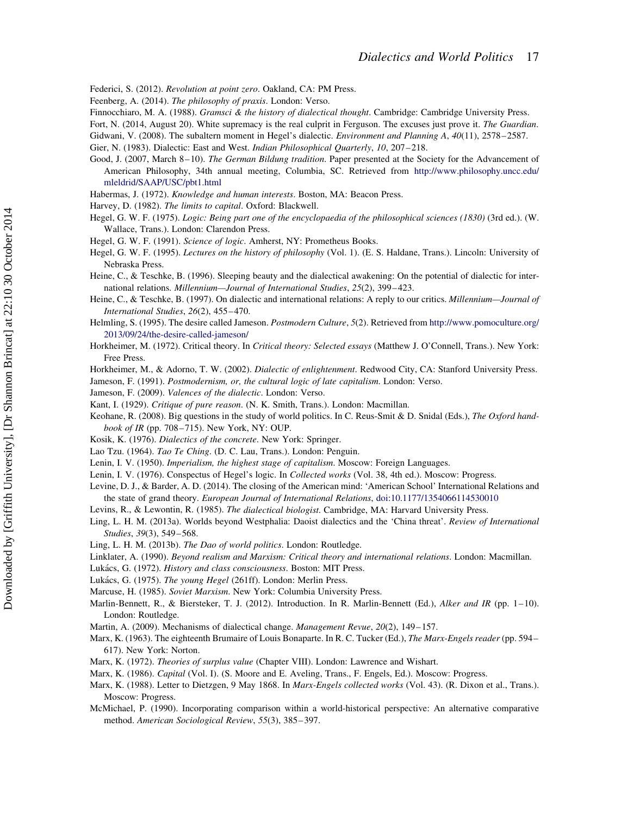<span id="page-17-0"></span>Federici, S. (2012). Revolution at point zero. Oakland, CA: PM Press.

Feenberg, A. (2014). The philosophy of praxis. London: Verso.

Finnocchiaro, M. A. (1988). Gramsci & the history of dialectical thought. Cambridge: Cambridge University Press.

Fort, N. (2014, August 20). White supremacy is the real culprit in Ferguson. The excuses just prove it. The Guardian.

Gidwani, V. (2008). The subaltern moment in Hegel's dialectic. Environment and Planning A, 40(11), 2578–2587.

Gier, N. (1983). Dialectic: East and West. Indian Philosophical Quarterly, 10, 207-218.

- Good, J. (2007, March 8–10). The German Bildung tradition. Paper presented at the Society for the Advancement of American Philosophy, 34th annual meeting, Columbia, SC. Retrieved from [http://www.philosophy.uncc.edu/](http://www.philosophy.uncc.edu/mleldrid/SAAP/USC/pbt1.html) [mleldrid/SAAP/USC/pbt1.html](http://www.philosophy.uncc.edu/mleldrid/SAAP/USC/pbt1.html)
- Habermas, J. (1972). Knowledge and human interests. Boston, MA: Beacon Press.
- Harvey, D. (1982). The limits to capital. Oxford: Blackwell.
- Hegel, G. W. F. (1975). Logic: Being part one of the encyclopaedia of the philosophical sciences (1830) (3rd ed.). (W. Wallace, Trans.). London: Clarendon Press.
- Hegel, G. W. F. (1991). Science of logic. Amherst, NY: Prometheus Books.
- Hegel, G. W. F. (1995). Lectures on the history of philosophy (Vol. 1). (E. S. Haldane, Trans.). Lincoln: University of Nebraska Press.
- Heine, C., & Teschke, B. (1996). Sleeping beauty and the dialectical awakening: On the potential of dialectic for international relations. Millennium—Journal of International Studies, 25(2), 399– 423.
- Heine, C., & Teschke, B. (1997). On dialectic and international relations: A reply to our critics. *Millennium—Journal of* International Studies, 26(2), 455–470.
- Helmling, S. (1995). The desire called Jameson. *Postmodern Culture*, 5(2). Retrieved from [http://www.pomoculture.org/](http://www.pomoculture.org/2013/09/24/the-desire-called-jameson/) [2013/09/24/the-desire-called-jameson/](http://www.pomoculture.org/2013/09/24/the-desire-called-jameson/)
- Horkheimer, M. (1972). Critical theory. In Critical theory: Selected essays (Matthew J. O'Connell, Trans.). New York: Free Press.

Horkheimer, M., & Adorno, T. W. (2002). Dialectic of enlightenment. Redwood City, CA: Stanford University Press.

Jameson, F. (1991). Postmodernism, or, the cultural logic of late capitalism. London: Verso.

- Jameson, F. (2009). Valences of the dialectic. London: Verso.
- Kant, I. (1929). Critique of pure reason. (N. K. Smith, Trans.). London: Macmillan.
- Keohane, R. (2008). Big questions in the study of world politics. In C. Reus-Smit & D. Snidal (Eds.), The Oxford handbook of IR (pp.  $708-715$ ). New York, NY: OUP.
- Kosik, K. (1976). Dialectics of the concrete. New York: Springer.
- Lao Tzu. (1964). Tao Te Ching. (D. C. Lau, Trans.). London: Penguin.
- Lenin, I. V. (1950). *Imperialism, the highest stage of capitalism*. Moscow: Foreign Languages.
- Lenin, I. V. (1976). Conspectus of Hegel's logic. In Collected works (Vol. 38, 4th ed.). Moscow: Progress.
- Levine, D. J., & Barder, A. D. (2014). The closing of the American mind: 'American School' International Relations and the state of grand theory. European Journal of International Relations, [doi:10.1177/1354066114530010](http://dx.doi.org/10.1177/1354066114530010)

Levins, R., & Lewontin, R. (1985). The dialectical biologist. Cambridge, MA: Harvard University Press.

- Ling, L. H. M. (2013a). Worlds beyond Westphalia: Daoist dialectics and the 'China threat'. Review of International Studies, 39(3), 549–568.
- Ling, L. H. M. (2013b). The Dao of world politics. London: Routledge.
- Linklater, A. (1990). Beyond realism and Marxism: Critical theory and international relations. London: Macmillan.
- Lukács, G. (1972). History and class consciousness. Boston: MIT Press.
- Lukács, G. (1975). The young Hegel (261ff). London: Merlin Press.
- Marcuse, H. (1985). Soviet Marxism. New York: Columbia University Press.
- Marlin-Bennett, R., & Biersteker, T. J. (2012). Introduction. In R. Marlin-Bennett (Ed.), Alker and IR (pp. 1–10). London: Routledge.
- Martin, A. (2009). Mechanisms of dialectical change. Management Revue, 20(2), 149–157.
- Marx, K. (1963). The eighteenth Brumaire of Louis Bonaparte. In R. C. Tucker (Ed.), The Marx-Engels reader (pp. 594– 617). New York: Norton.
- Marx, K. (1972). Theories of surplus value (Chapter VIII). London: Lawrence and Wishart.
- Marx, K. (1986). Capital (Vol. I). (S. Moore and E. Aveling, Trans., F. Engels, Ed.). Moscow: Progress.
- Marx, K. (1988). Letter to Dietzgen, 9 May 1868. In *Marx-Engels collected works* (Vol. 43). (R. Dixon et al., Trans.). Moscow: Progress.
- McMichael, P. (1990). Incorporating comparison within a world-historical perspective: An alternative comparative method. American Sociological Review, 55(3), 385– 397.